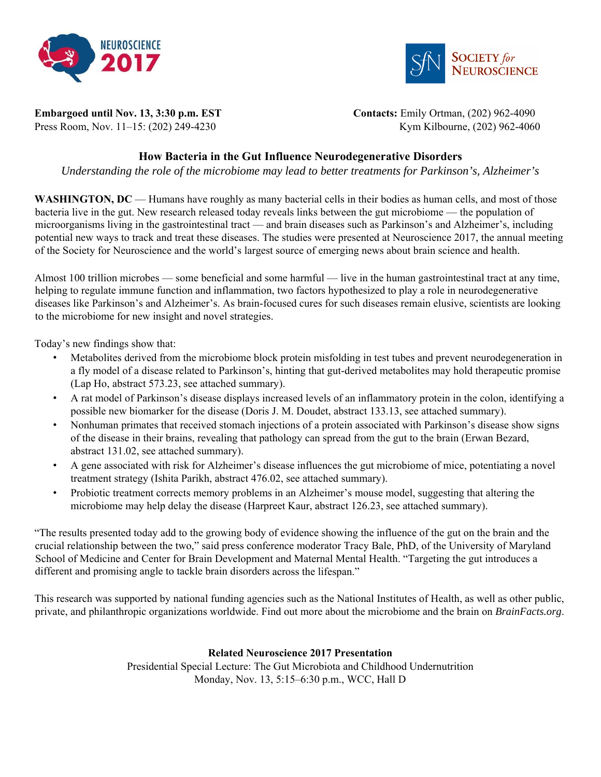



**Embargoed until Nov. 13, 3:30 p.m. EST Contacts: Emily Ortman, (202) 962-4090** 

Press Room, Nov. 11–15: (202) 249-4230 Kym Kilbourne, (202) 962-4060

# **How Bacteria in the Gut Influence Neurodegenerative Disorders**

*Understanding the role of the microbiome may lead to better treatments for Parkinson's, Alzheimer's* 

**WASHINGTON, DC** — Humans have roughly as many bacterial cells in their bodies as human cells, and most of those bacteria live in the gut. New research released today reveals links between the gut microbiome — the population of microorganisms living in the gastrointestinal tract — and brain diseases such as Parkinson's and Alzheimer's, including potential new ways to track and treat these diseases. The studies were presented at Neuroscience 2017, the annual meeting of the Society for Neuroscience and the world's largest source of emerging news about brain science and health.

Almost 100 trillion microbes — some beneficial and some harmful — live in the human gastrointestinal tract at any time, helping to regulate immune function and inflammation, two factors hypothesized to play a role in neurodegenerative diseases like Parkinson's and Alzheimer's. As brain-focused cures for such diseases remain elusive, scientists are looking to the microbiome for new insight and novel strategies.

Today's new findings show that:

- Metabolites derived from the microbiome block protein misfolding in test tubes and prevent neurodegeneration in a fly model of a disease related to Parkinson's, hinting that gut-derived metabolites may hold therapeutic promise (Lap Ho, abstract 573.23, see attached summary).
- A rat model of Parkinson's disease displays increased levels of an inflammatory protein in the colon, identifying a possible new biomarker for the disease (Doris J. M. Doudet, abstract 133.13, see attached summary).
- Nonhuman primates that received stomach injections of a protein associated with Parkinson's disease show signs of the disease in their brains, revealing that pathology can spread from the gut to the brain (Erwan Bezard, abstract 131.02, see attached summary).
- A gene associated with risk for Alzheimer's disease influences the gut microbiome of mice, potentiating a novel treatment strategy (Ishita Parikh, abstract 476.02, see attached summary).
- Probiotic treatment corrects memory problems in an Alzheimer's mouse model, suggesting that altering the microbiome may help delay the disease (Harpreet Kaur, abstract 126.23, see attached summary).

"The results presented today add to the growing body of evidence showing the influence of the gut on the brain and the crucial relationship between the two," said press conference moderator Tracy Bale, PhD, of the University of Maryland School of Medicine and Center for Brain Development and Maternal Mental Health. "Targeting the gut introduces a different and promising angle to tackle brain disorders across the lifespan."

This research was supported by national funding agencies such as the National Institutes of Health, as well as other public, private, and philanthropic organizations worldwide. Find out more about the microbiome and the brain on *BrainFacts.org*.

# **Related Neuroscience 2017 Presentation**

Presidential Special Lecture: The Gut Microbiota and Childhood Undernutrition Monday, Nov. 13, 5:15–6:30 p.m., WCC, Hall D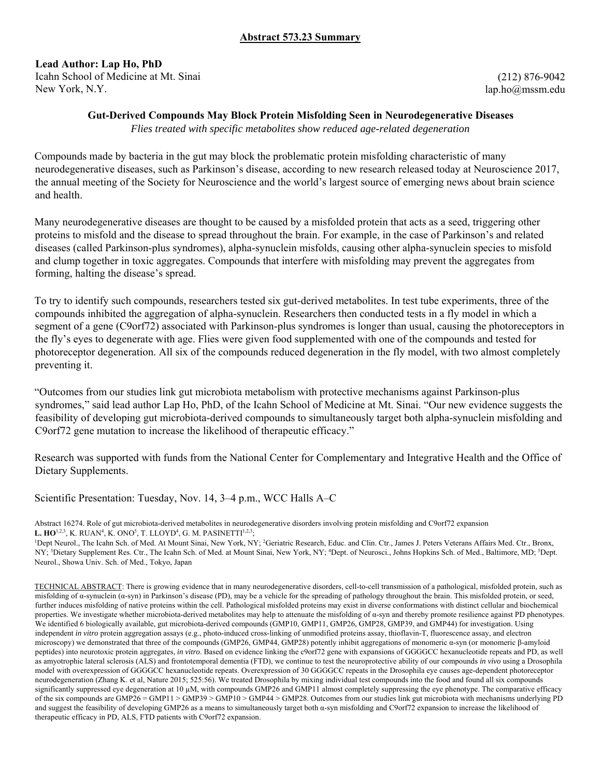# **Abstract 573.23 Summary**

# **Lead Author: Lap Ho, PhD**

Icahn School of Medicine at Mt. Sinai New York, N.Y.

(212) 876-9042 lap.ho@mssm.edu

### **Gut-Derived Compounds May Block Protein Misfolding Seen in Neurodegenerative Diseases**

*Flies treated with specific metabolites show reduced age-related degeneration*

Compounds made by bacteria in the gut may block the problematic protein misfolding characteristic of many neurodegenerative diseases, such as Parkinson's disease, according to new research released today at Neuroscience 2017, the annual meeting of the Society for Neuroscience and the world's largest source of emerging news about brain science and health.

Many neurodegenerative diseases are thought to be caused by a misfolded protein that acts as a seed, triggering other proteins to misfold and the disease to spread throughout the brain. For example, in the case of Parkinson's and related diseases (called Parkinson-plus syndromes), alpha-synuclein misfolds, causing other alpha-synuclein species to misfold and clump together in toxic aggregates. Compounds that interfere with misfolding may prevent the aggregates from forming, halting the disease's spread.

To try to identify such compounds, researchers tested six gut-derived metabolites. In test tube experiments, three of the compounds inhibited the aggregation of alpha-synuclein. Researchers then conducted tests in a fly model in which a segment of a gene (C9orf72) associated with Parkinson-plus syndromes is longer than usual, causing the photoreceptors in the fly's eyes to degenerate with age. Flies were given food supplemented with one of the compounds and tested for photoreceptor degeneration. All six of the compounds reduced degeneration in the fly model, with two almost completely preventing it.

"Outcomes from our studies link gut microbiota metabolism with protective mechanisms against Parkinson-plus syndromes," said lead author Lap Ho, PhD, of the Icahn School of Medicine at Mt. Sinai. "Our new evidence suggests the feasibility of developing gut microbiota-derived compounds to simultaneously target both alpha-synuclein misfolding and C9orf72 gene mutation to increase the likelihood of therapeutic efficacy."

Research was supported with funds from the National Center for Complementary and Integrative Health and the Office of Dietary Supplements.

Scientific Presentation: Tuesday, Nov. 14, 3–4 p.m., WCC Halls A–C

Abstract 16274. Role of gut microbiota-derived metabolites in neurodegenerative disorders involving protein misfolding and C9orf72 expansion L. **HO**<sup>1,2,3</sup>, K. RUAN<sup>4</sup>, K. ONO<sup>5</sup>, T. LLOYD<sup>4</sup>, G. M. PASINETTI<sup>1,2,3</sup>;<br><sup>1</sup>Dent Naurol – The Joshn Sch. of Med. At Mount Sinai, Naw York, NN

Dept Neurol., The Icahn Sch. of Med. At Mount Sinai, New York, NY; <sup>2</sup>Geriatric Research, Educ. and Clin. Ctr., James J. Peters Veterans Affairs Med. Ctr., Bronx, NY; <sup>3</sup>Dietary Supplement Res. Ctr., The Icahn Sch. of Med. at Mount Sinai, New York, NY; <sup>4</sup>Dept. of Neurosci., Johns Hopkins Sch. of Med., Baltimore, MD; <sup>5</sup>Dept. Neurol., Showa Univ. Sch. of Med., Tokyo, Japan

TECHNICAL ABSTRACT: There is growing evidence that in many neurodegenerative disorders, cell-to-cell transmission of a pathological, misfolded protein, such as misfolding of  $\alpha$ -synuclein ( $\alpha$ -syn) in Parkinson's disease (PD), may be a vehicle for the spreading of pathology throughout the brain. This misfolded protein, or seed, further induces misfolding of native proteins within the cell. Pathological misfolded proteins may exist in diverse conformations with distinct cellular and biochemical properties. We investigate whether microbiota-derived metabolites may help to attenuate the misfolding of  $\alpha$ -syn and thereby promote resilience against PD phenotypes. We identified 6 biologically available, gut microbiota-derived compounds (GMP10, GMP11, GMP26, GMP28, GMP39, and GMP44) for investigation. Using independent *in vitro* protein aggregation assays (e.g., photo-induced cross-linking of unmodified proteins assay, thioflavin-T, fluorescence assay, and electron microscopy) we demonstrated that three of the compounds (GMP26, GMP44, GMP28) potently inhibit aggregations of monomeric α-syn (or monomeric β-amyloid peptides) into neurotoxic protein aggregates, *in vitro*. Based on evidence linking the c9orf72 gene with expansions of GGGGCC hexanucleotide repeats and PD, as well as amyotrophic lateral sclerosis (ALS) and frontotemporal dementia (FTD), we continue to test the neuroprotective ability of our compounds *in vivo* using a Drosophila model with overexpression of GGGGCC hexanucleotide repeats. Overexpression of 30 GGGGCC repeats in the Drosophila eye causes age-dependent photoreceptor neurodegeneration (Zhang K. et al, Nature 2015; 525:56). We treated Drosophila by mixing individual test compounds into the food and found all six compounds significantly suppressed eye degeneration at 10 µM, with compounds GMP26 and GMP11 almost completely suppressing the eye phenotype. The comparative efficacy of the six compounds are GMP26 = GMP11 > GMP39 > GMP10 > GMP44 > GMP28. Outcomes from our studies link gut microbiota with mechanisms underlying PD and suggest the feasibility of developing GMP26 as a means to simultaneously target both α-syn misfolding and C9orf72 expansion to increase the likelihood of therapeutic efficacy in PD, ALS, FTD patients with C9orf72 expansion.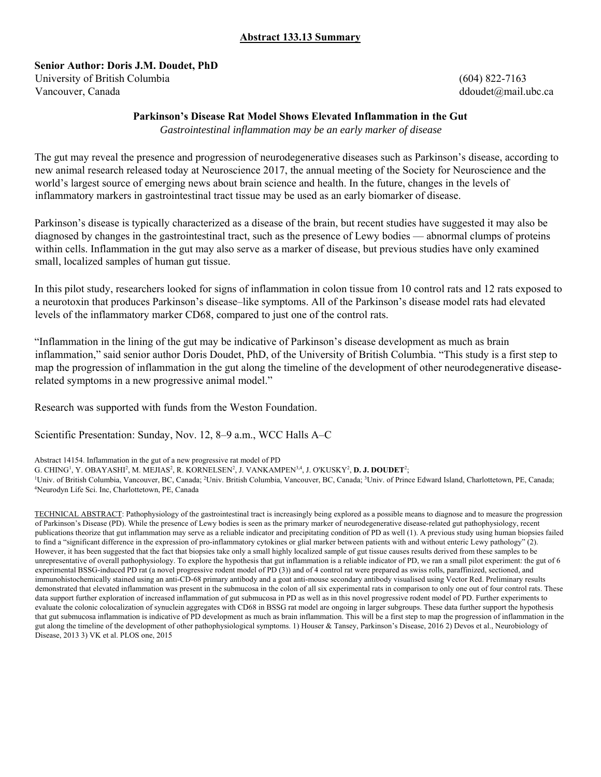# **Abstract 133.13 Summary**

**Senior Author: Doris J.M. Doudet, PhD** 

University of British Columbia (604) 822-7163 Vancouver, Canada ddoudet@mail.ubc.ca canada ddoudet@mail.ubc.ca canada ddoudet@mail.ubc.ca

# **Parkinson's Disease Rat Model Shows Elevated Inflammation in the Gut**

*Gastrointestinal inflammation may be an early marker of disease* 

The gut may reveal the presence and progression of neurodegenerative diseases such as Parkinson's disease, according to new animal research released today at Neuroscience 2017, the annual meeting of the Society for Neuroscience and the world's largest source of emerging news about brain science and health. In the future, changes in the levels of inflammatory markers in gastrointestinal tract tissue may be used as an early biomarker of disease.

Parkinson's disease is typically characterized as a disease of the brain, but recent studies have suggested it may also be diagnosed by changes in the gastrointestinal tract, such as the presence of Lewy bodies — abnormal clumps of proteins within cells. Inflammation in the gut may also serve as a marker of disease, but previous studies have only examined small, localized samples of human gut tissue.

In this pilot study, researchers looked for signs of inflammation in colon tissue from 10 control rats and 12 rats exposed to a neurotoxin that produces Parkinson's disease–like symptoms. All of the Parkinson's disease model rats had elevated levels of the inflammatory marker CD68, compared to just one of the control rats.

"Inflammation in the lining of the gut may be indicative of Parkinson's disease development as much as brain inflammation," said senior author Doris Doudet, PhD, of the University of British Columbia. "This study is a first step to map the progression of inflammation in the gut along the timeline of the development of other neurodegenerative diseaserelated symptoms in a new progressive animal model."

Research was supported with funds from the Weston Foundation.

Scientific Presentation: Sunday, Nov. 12, 8–9 a.m., WCC Halls A–C

Abstract 14154. Inflammation in the gut of a new progressive rat model of PD

G. CHING<sup>1</sup>, Y. OBAYASHI<sup>2</sup>, M. MEJIAS<sup>2</sup>, R. KORNELSEN<sup>2</sup>, J. VANKAMPEN<sup>3,4</sup>, J. O'KUSKY<sup>2</sup>, **D. J. DOUDET<sup>2</sup>;**<br><sup>1</sup>Llniv, of British Columbia, Vancouver, BC. Canada: <sup>2</sup>Llniv, British Columbia, Vancouver, BC. Canada: <sup>3</sup>L

<sup>1</sup>Univ. of British Columbia, Vancouver, BC, Canada; <sup>2</sup>Univ. British Columbia, Vancouver, BC, Canada; <sup>3</sup>Univ. of Prince Edward Island, Charlottetown, PE, Canada; <sup>4</sup>Neurodyn Life Sci. Inc. Charlottetown, PE Canada; Neurodyn Life Sci. Inc, Charlottetown, PE, Canada

TECHNICAL ABSTRACT: Pathophysiology of the gastrointestinal tract is increasingly being explored as a possible means to diagnose and to measure the progression of Parkinson's Disease (PD). While the presence of Lewy bodies is seen as the primary marker of neurodegenerative disease-related gut pathophysiology, recent publications theorize that gut inflammation may serve as a reliable indicator and precipitating condition of PD as well (1). A previous study using human biopsies failed to find a "significant difference in the expression of pro-inflammatory cytokines or glial marker between patients with and without enteric Lewy pathology" (2). However, it has been suggested that the fact that biopsies take only a small highly localized sample of gut tissue causes results derived from these samples to be unrepresentative of overall pathophysiology. To explore the hypothesis that gut inflammation is a reliable indicator of PD, we ran a small pilot experiment: the gut of 6 experimental BSSG-induced PD rat (a novel progressive rodent model of PD (3)) and of 4 control rat were prepared as swiss rolls, paraffinized, sectioned, and immunohistochemically stained using an anti-CD-68 primary antibody and a goat anti-mouse secondary antibody visualised using Vector Red. Preliminary results demonstrated that elevated inflammation was present in the submucosa in the colon of all six experimental rats in comparison to only one out of four control rats. These data support further exploration of increased inflammation of gut submucosa in PD as well as in this novel progressive rodent model of PD. Further experiments to evaluate the colonic colocalization of synuclein aggregates with CD68 in BSSG rat model are ongoing in larger subgroups. These data further support the hypothesis that gut submucosa inflammation is indicative of PD development as much as brain inflammation. This will be a first step to map the progression of inflammation in the gut along the timeline of the development of other pathophysiological symptoms. 1) Houser & Tansey, Parkinson's Disease, 2016 2) Devos et al., Neurobiology of Disease, 2013 3) VK et al. PLOS one, 2015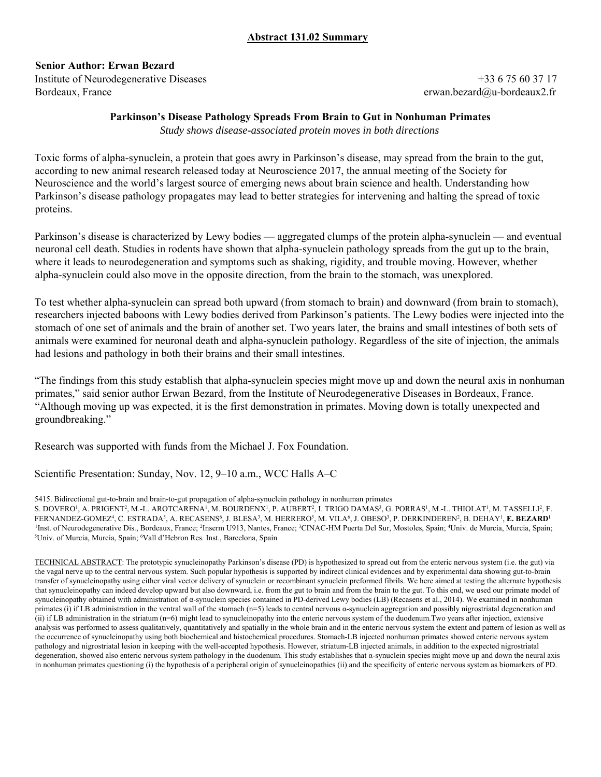# **Abstract 131.02 Summary**

**Senior Author: Erwan Bezard** 

Institute of Neurodegenerative Diseases +33 6 75 60 37 17 Bordeaux, France erwan.bezard@u-bordeaux2.fr

### **Parkinson's Disease Pathology Spreads From Brain to Gut in Nonhuman Primates**

*Study shows disease-associated protein moves in both directions*

Toxic forms of alpha-synuclein, a protein that goes awry in Parkinson's disease, may spread from the brain to the gut, according to new animal research released today at Neuroscience 2017, the annual meeting of the Society for Neuroscience and the world's largest source of emerging news about brain science and health. Understanding how Parkinson's disease pathology propagates may lead to better strategies for intervening and halting the spread of toxic proteins.

Parkinson's disease is characterized by Lewy bodies — aggregated clumps of the protein alpha-synuclein — and eventual neuronal cell death. Studies in rodents have shown that alpha-synuclein pathology spreads from the gut up to the brain, where it leads to neurodegeneration and symptoms such as shaking, rigidity, and trouble moving. However, whether alpha-synuclein could also move in the opposite direction, from the brain to the stomach, was unexplored.

To test whether alpha-synuclein can spread both upward (from stomach to brain) and downward (from brain to stomach), researchers injected baboons with Lewy bodies derived from Parkinson's patients. The Lewy bodies were injected into the stomach of one set of animals and the brain of another set. Two years later, the brains and small intestines of both sets of animals were examined for neuronal death and alpha-synuclein pathology. Regardless of the site of injection, the animals had lesions and pathology in both their brains and their small intestines.

"The findings from this study establish that alpha-synuclein species might move up and down the neural axis in nonhuman primates," said senior author Erwan Bezard, from the Institute of Neurodegenerative Diseases in Bordeaux, France. "Although moving up was expected, it is the first demonstration in primates. Moving down is totally unexpected and groundbreaking."

Research was supported with funds from the Michael J. Fox Foundation.

Scientific Presentation: Sunday, Nov. 12, 9–10 a.m., WCC Halls A–C

5415. Bidirectional gut-to-brain and brain-to-gut propagation of alpha-synuclein pathology in nonhuman primates S. DOVERO<sup>1</sup>, A. PRIGENT<sup>2</sup>, M.-L. AROTCARENA<sup>1</sup>, M. BOURDENX<sup>1</sup>, P. AUBERT<sup>2</sup>, I. TRIGO DAMAS<sup>3</sup>, G. PORRAS<sup>1</sup>, M.-L. THIOLAT<sup>1</sup>, M. TASSELLI<sup>2</sup>, F. FERNANDEZ-GOMEZ<sup>4</sup>, C. ESTRADA<sup>5</sup>, A. RECASENS<sup>6</sup>, J. BLESA<sup>3</sup>, M. HERRERO<sup>5</sup>, M. VILA<sup>6</sup>, J. OBESO<sup>3</sup>, P. DERKINDEREN<sup>2</sup>, B. DEHAY<sup>1</sup>, **E. BEZARD<sup>1</sup>** <sup>1</sup>Inst. of Neurodegenerative Dis., Bordeaux, France; <sup>2</sup>Inserm U913, Nantes, France; <sup>3</sup>CINAC-HM Puerta Del Sur, Mostoles, Spain; <sup>4</sup>Univ. de Murcia, Murcia, Spain; <sup>5</sup>Lhiv. of Murcia, Spain; <sup>5</sup>Lhiv. of Murcia, Spain; <sup>5</sup> Univ. of Murcia, Murcia, Spain; <sup>6</sup>Vall d'Hebron Res. Inst., Barcelona, Spain

TECHNICAL ABSTRACT: The prototypic synucleinopathy Parkinson's disease (PD) is hypothesized to spread out from the enteric nervous system (i.e. the gut) via the vagal nerve up to the central nervous system. Such popular hypothesis is supported by indirect clinical evidences and by experimental data showing gut-to-brain transfer of synucleinopathy using either viral vector delivery of synuclein or recombinant synuclein preformed fibrils. We here aimed at testing the alternate hypothesis that synucleinopathy can indeed develop upward but also downward, i.e. from the gut to brain and from the brain to the gut. To this end, we used our primate model of synucleinopathy obtained with administration of α-synuclein species contained in PD-derived Lewy bodies (LB) (Recasens et al., 2014). We examined in nonhuman primates (i) if LB administration in the ventral wall of the stomach (n=5) leads to central nervous  $\alpha$ -synuclein aggregation and possibly nigrostriatal degeneration and (ii) if LB administration in the striatum (n=6) might lead to synucleinopathy into the enteric nervous system of the duodenum.Two years after injection, extensive analysis was performed to assess qualitatively, quantitatively and spatially in the whole brain and in the enteric nervous system the extent and pattern of lesion as well as the occurrence of synucleinopathy using both biochemical and histochemical procedures. Stomach-LB injected nonhuman primates showed enteric nervous system pathology and nigrostriatal lesion in keeping with the well-accepted hypothesis. However, striatum-LB injected animals, in addition to the expected nigrostriatal degeneration, showed also enteric nervous system pathology in the duodenum. This study establishes that α-synuclein species might move up and down the neural axis in nonhuman primates questioning (i) the hypothesis of a peripheral origin of synucleinopathies (ii) and the specificity of enteric nervous system as biomarkers of PD.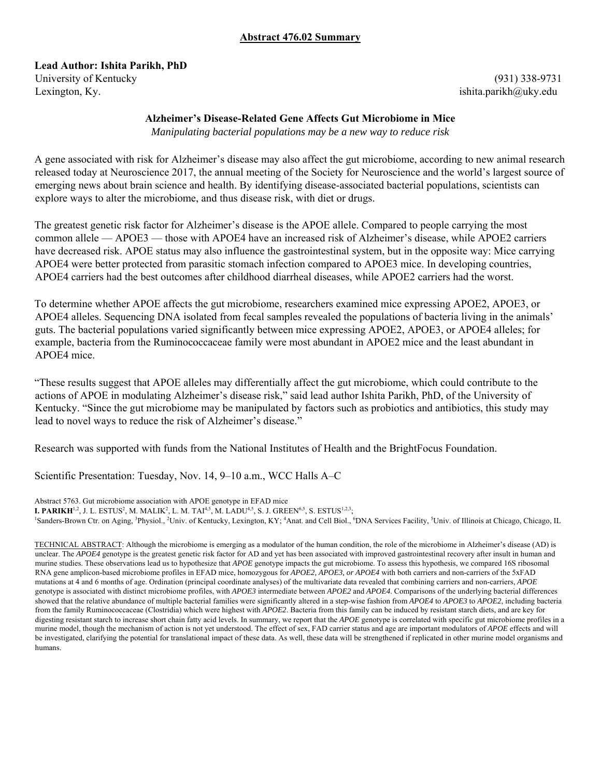### **Abstract 476.02 Summary**

**Lead Author: Ishita Parikh, PhD**  University of Kentucky (931) 338-9731

Lexington, Ky. ishita.parikh@uky.edu

### **Alzheimer's Disease-Related Gene Affects Gut Microbiome in Mice**

*Manipulating bacterial populations may be a new way to reduce risk*

A gene associated with risk for Alzheimer's disease may also affect the gut microbiome, according to new animal research released today at Neuroscience 2017, the annual meeting of the Society for Neuroscience and the world's largest source of emerging news about brain science and health. By identifying disease-associated bacterial populations, scientists can explore ways to alter the microbiome, and thus disease risk, with diet or drugs.

The greatest genetic risk factor for Alzheimer's disease is the APOE allele. Compared to people carrying the most common allele — APOE3 — those with APOE4 have an increased risk of Alzheimer's disease, while APOE2 carriers have decreased risk. APOE status may also influence the gastrointestinal system, but in the opposite way: Mice carrying APOE4 were better protected from parasitic stomach infection compared to APOE3 mice. In developing countries, APOE4 carriers had the best outcomes after childhood diarrheal diseases, while APOE2 carriers had the worst.

To determine whether APOE affects the gut microbiome, researchers examined mice expressing APOE2, APOE3, or APOE4 alleles. Sequencing DNA isolated from fecal samples revealed the populations of bacteria living in the animals' guts. The bacterial populations varied significantly between mice expressing APOE2, APOE3, or APOE4 alleles; for example, bacteria from the Ruminococcaceae family were most abundant in APOE2 mice and the least abundant in APOE4 mice.

"These results suggest that APOE alleles may differentially affect the gut microbiome, which could contribute to the actions of APOE in modulating Alzheimer's disease risk," said lead author Ishita Parikh, PhD, of the University of Kentucky. "Since the gut microbiome may be manipulated by factors such as probiotics and antibiotics, this study may lead to novel ways to reduce the risk of Alzheimer's disease."

Research was supported with funds from the National Institutes of Health and the BrightFocus Foundation.

Scientific Presentation: Tuesday, Nov. 14, 9–10 a.m., WCC Halls A–C

Abstract 5763. Gut microbiome association with APOE genotype in EFAD mice

**I. PARIKH**<sup>1,2</sup>, J. L. ESTUS<sup>2</sup>, M. MALIK<sup>2</sup>, L. M. TAI<sup>4,5</sup>, M. LADU<sup>4,5</sup>, S. J. GREEN<sup>6,5</sup>, S. ESTUS<sup>1,2,3</sup>; <sup>1</sup>S and supposed to a string of the string of the string of the string of the string of the string of the st Sanders-Brown Ctr. on Aging, <sup>3</sup>Physiol., <sup>2</sup>Univ. of Kentucky, Lexington, KY; <sup>4</sup>Anat. and Cell Biol., <sup>6</sup>DNA Services Facility, <sup>5</sup>Univ. of Illinois at Chicago, Chicago, IL

TECHNICAL ABSTRACT: Although the microbiome is emerging as a modulator of the human condition, the role of the microbiome in Alzheimer's disease (AD) is unclear. The *APOE4* genotype is the greatest genetic risk factor for AD and yet has been associated with improved gastrointestinal recovery after insult in human and murine studies. These observations lead us to hypothesize that *APOE* genotype impacts the gut microbiome. To assess this hypothesis, we compared 16S ribosomal RNA gene amplicon-based microbiome profiles in EFAD mice, homozygous for *APOE2, APOE3, or APOE4* with both carriers and non-carriers of the 5xFAD mutations at 4 and 6 months of age. Ordination (principal coordinate analyses) of the multivariate data revealed that combining carriers and non-carriers, *APOE* genotype is associated with distinct microbiome profiles, with *APOE3* intermediate between *APOE2* and *APOE4*. Comparisons of the underlying bacterial differences showed that the relative abundance of multiple bacterial families were significantly altered in a step-wise fashion from *APOE4* to *APOE3* to *APOE2*, including bacteria from the family Ruminococcaceae (Clostridia) which were highest with *APOE2*. Bacteria from this family can be induced by resistant starch diets, and are key for digesting resistant starch to increase short chain fatty acid levels. In summary, we report that the *APOE* genotype is correlated with specific gut microbiome profiles in a murine model, though the mechanism of action is not yet understood. The effect of sex, FAD carrier status and age are important modulators of *APOE* effects and will be investigated, clarifying the potential for translational impact of these data. As well, these data will be strengthened if replicated in other murine model organisms and humans.